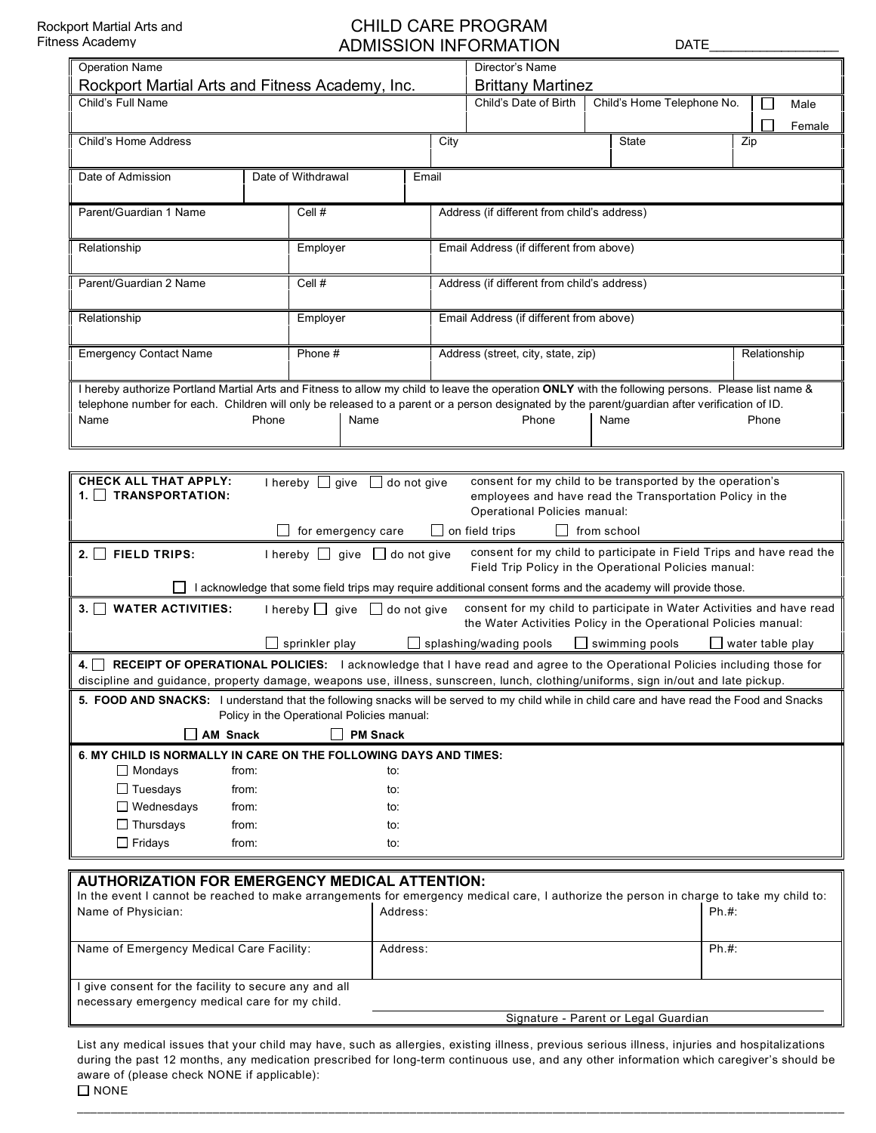## CHILD CARE PROGRAM ADMISSION INFORMATION DATE

| <b>Operation Name</b>                                                                                                                             |              |                |          |      | Director's Name                                                                                                                                                         |                            |                         |  |
|---------------------------------------------------------------------------------------------------------------------------------------------------|--------------|----------------|----------|------|-------------------------------------------------------------------------------------------------------------------------------------------------------------------------|----------------------------|-------------------------|--|
| Rockport Martial Arts and Fitness Academy, Inc.                                                                                                   |              |                |          |      | <b>Brittany Martinez</b>                                                                                                                                                |                            |                         |  |
| Child's Full Name                                                                                                                                 |              |                |          |      | Child's Date of Birth                                                                                                                                                   | Child's Home Telephone No. | $\mathbf{I}$<br>Male    |  |
|                                                                                                                                                   |              |                |          |      |                                                                                                                                                                         |                            | Female                  |  |
| Child's Home Address                                                                                                                              |              |                |          | City |                                                                                                                                                                         | <b>State</b>               | Zip                     |  |
|                                                                                                                                                   |              |                |          |      |                                                                                                                                                                         |                            |                         |  |
| Date of Admission<br>Date of Withdrawal                                                                                                           |              |                | Email    |      |                                                                                                                                                                         |                            |                         |  |
|                                                                                                                                                   |              |                |          |      |                                                                                                                                                                         |                            |                         |  |
| Parent/Guardian 1 Name                                                                                                                            |              | Cell #         |          |      | Address (if different from child's address)                                                                                                                             |                            |                         |  |
|                                                                                                                                                   |              |                |          |      |                                                                                                                                                                         |                            |                         |  |
| Relationship                                                                                                                                      |              | Employer       |          |      | Email Address (if different from above)                                                                                                                                 |                            |                         |  |
|                                                                                                                                                   |              |                |          |      |                                                                                                                                                                         |                            |                         |  |
| Parent/Guardian 2 Name                                                                                                                            |              | Cell #         |          |      | Address (if different from child's address)                                                                                                                             |                            |                         |  |
|                                                                                                                                                   |              |                |          |      |                                                                                                                                                                         |                            |                         |  |
| Relationship                                                                                                                                      |              | Employer       |          |      | Email Address (if different from above)                                                                                                                                 |                            |                         |  |
|                                                                                                                                                   |              |                |          |      |                                                                                                                                                                         |                            |                         |  |
| <b>Emergency Contact Name</b>                                                                                                                     |              | Phone #        |          |      | Address (street, city, state, zip)                                                                                                                                      |                            | Relationship            |  |
| I hereby authorize Portland Martial Arts and Fitness to allow my child to leave the operation ONLY with the following persons. Please list name & |              |                |          |      |                                                                                                                                                                         |                            |                         |  |
|                                                                                                                                                   |              |                |          |      |                                                                                                                                                                         |                            |                         |  |
| Name                                                                                                                                              | Phone        | Name           |          |      | telephone number for each. Children will only be released to a parent or a person designated by the parent/guardian after verification of ID.<br>Phone<br>Name<br>Phone |                            |                         |  |
|                                                                                                                                                   |              |                |          |      |                                                                                                                                                                         |                            |                         |  |
|                                                                                                                                                   |              |                |          |      |                                                                                                                                                                         |                            |                         |  |
| <b>CHECK ALL THAT APPLY:</b><br>consent for my child to be transported by the operation's<br>I hereby $\Box$ give $\Box$ do not give              |              |                |          |      |                                                                                                                                                                         |                            |                         |  |
| 1. TRANSPORTATION:                                                                                                                                |              |                |          |      |                                                                                                                                                                         |                            |                         |  |
| employees and have read the Transportation Policy in the<br>Operational Policies manual:                                                          |              |                |          |      |                                                                                                                                                                         |                            |                         |  |
| $\Box$ for emergency care<br>$\Box$ on field trips<br>$\Box$ from school                                                                          |              |                |          |      |                                                                                                                                                                         |                            |                         |  |
| consent for my child to participate in Field Trips and have read the<br>2. $\Box$ FIELD TRIPS:<br>I hereby $\Box$ give $\Box$ do not give         |              |                |          |      |                                                                                                                                                                         |                            |                         |  |
| Field Trip Policy in the Operational Policies manual:                                                                                             |              |                |          |      |                                                                                                                                                                         |                            |                         |  |
| I acknowledge that some field trips may require additional consent forms and the academy will provide those.                                      |              |                |          |      |                                                                                                                                                                         |                            |                         |  |
| consent for my child to participate in Water Activities and have read<br>3. WATER ACTIVITIES:<br>I hereby $\Box$ give $\Box$ do not give          |              |                |          |      |                                                                                                                                                                         |                            |                         |  |
|                                                                                                                                                   |              |                |          |      | the Water Activities Policy in the Operational Policies manual:                                                                                                         |                            |                         |  |
|                                                                                                                                                   |              | sprinkler play |          |      | splashing/wading pools                                                                                                                                                  | $\Box$ swimming pools      | $\Box$ water table play |  |
| 4. RECEIPT OF OPERATIONAL POLICIES: I acknowledge that I have read and agree to the Operational Policies including those for                      |              |                |          |      |                                                                                                                                                                         |                            |                         |  |
| discipline and guidance, property damage, weapons use, illness, sunscreen, lunch, clothing/uniforms, sign in/out and late pickup.                 |              |                |          |      |                                                                                                                                                                         |                            |                         |  |
| 5. FOOD AND SNACKS: I understand that the following snacks will be served to my child while in child care and have read the Food and Snacks       |              |                |          |      |                                                                                                                                                                         |                            |                         |  |
| Policy in the Operational Policies manual:                                                                                                        |              |                |          |      |                                                                                                                                                                         |                            |                         |  |
| <b>PM Snack</b><br><b>AM Snack</b>                                                                                                                |              |                |          |      |                                                                                                                                                                         |                            |                         |  |
| 6. MY CHILD IS NORMALLY IN CARE ON THE FOLLOWING DAYS AND TIMES:                                                                                  |              |                |          |      |                                                                                                                                                                         |                            |                         |  |
| $\Box$ Mondays<br>from:                                                                                                                           |              |                | to:      |      |                                                                                                                                                                         |                            |                         |  |
| $\Box$ Tuesdays<br>from:                                                                                                                          |              |                | to:      |      |                                                                                                                                                                         |                            |                         |  |
| $\Box$ Wednesdays                                                                                                                                 | from:<br>to: |                |          |      |                                                                                                                                                                         |                            |                         |  |
| $\Box$ Thursdays<br>from:<br>to:                                                                                                                  |              |                |          |      |                                                                                                                                                                         |                            |                         |  |
| $\Box$ Fridays<br>from:<br>to:                                                                                                                    |              |                |          |      |                                                                                                                                                                         |                            |                         |  |
|                                                                                                                                                   |              |                |          |      |                                                                                                                                                                         |                            |                         |  |
| <b>AUTHORIZATION FOR EMERGENCY MEDICAL ATTENTION:</b>                                                                                             |              |                |          |      |                                                                                                                                                                         |                            |                         |  |
| In the event I cannot be reached to make arrangements for emergency medical care, I authorize the person in charge to take my child to:           |              |                |          |      |                                                                                                                                                                         |                            |                         |  |
| Name of Physician:                                                                                                                                |              |                | Address: |      |                                                                                                                                                                         |                            | Ph.#:                   |  |
|                                                                                                                                                   |              |                |          |      |                                                                                                                                                                         |                            |                         |  |
| Name of Emergency Medical Care Facility:<br>Address:                                                                                              |              |                |          |      |                                                                                                                                                                         | Ph.#:                      |                         |  |

| I give consent for the facility to secure any and all |  |
|-------------------------------------------------------|--|
| necessary emergency medical care for my child.        |  |
|                                                       |  |

List any medical issues that your child may have, such as allergies, existing illness, previous serious illness, injuries and hospitalizations during the past 12 months, any medication prescribed for long-term continuous use, and any other information which caregiver's should be aware of (please check NONE if applicable):  $\square$  NONE

Signature - Parent or Legal Guardian

\_\_\_\_\_\_\_\_\_\_\_\_\_\_\_\_\_\_\_\_\_\_\_\_\_\_\_\_\_\_\_\_\_\_\_\_\_\_\_\_\_\_\_\_\_\_\_\_\_\_\_\_\_\_\_\_\_\_\_\_\_\_\_\_\_\_\_\_\_\_\_\_\_\_\_\_\_\_\_\_\_\_\_\_\_\_\_\_\_\_\_\_\_\_\_\_\_\_\_\_\_\_\_\_\_\_\_\_\_\_\_\_\_